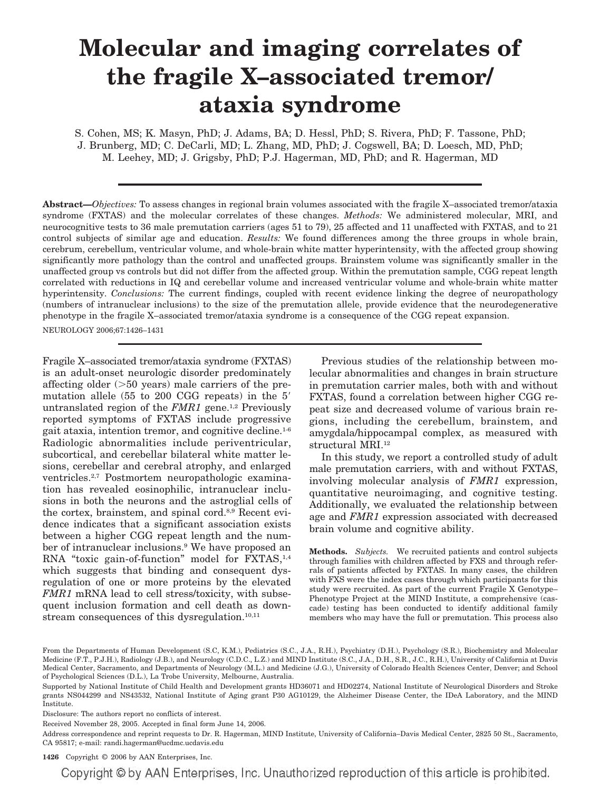## **Molecular and imaging correlates of the fragile X–associated tremor/ ataxia syndrome**

S. Cohen, MS; K. Masyn, PhD; J. Adams, BA; D. Hessl, PhD; S. Rivera, PhD; F. Tassone, PhD; J. Brunberg, MD; C. DeCarli, MD; L. Zhang, MD, PhD; J. Cogswell, BA; D. Loesch, MD, PhD; M. Leehey, MD; J. Grigsby, PhD; P.J. Hagerman, MD, PhD; and R. Hagerman, MD

**Abstract—***Objectives:* To assess changes in regional brain volumes associated with the fragile X–associated tremor/ataxia syndrome (FXTAS) and the molecular correlates of these changes. *Methods:* We administered molecular, MRI, and neurocognitive tests to 36 male premutation carriers (ages 51 to 79), 25 affected and 11 unaffected with FXTAS, and to 21 control subjects of similar age and education. *Results:* We found differences among the three groups in whole brain, cerebrum, cerebellum, ventricular volume, and whole-brain white matter hyperintensity, with the affected group showing significantly more pathology than the control and unaffected groups. Brainstem volume was significantly smaller in the unaffected group vs controls but did not differ from the affected group. Within the premutation sample, CGG repeat length correlated with reductions in IQ and cerebellar volume and increased ventricular volume and whole-brain white matter hyperintensity. *Conclusions:* The current findings, coupled with recent evidence linking the degree of neuropathology (numbers of intranuclear inclusions) to the size of the premutation allele, provide evidence that the neurodegenerative phenotype in the fragile X–associated tremor/ataxia syndrome is a consequence of the CGG repeat expansion. NEUROLOGY 2006;67:1426–1431

Fragile X–associated tremor/ataxia syndrome (FXTAS) is an adult-onset neurologic disorder predominately affecting older (50 years) male carriers of the premutation allele  $(55 \text{ to } 200 \text{ CGG repeats})$  in the  $5'$ untranslated region of the *FMR1* gene.<sup>1,2</sup> Previously reported symptoms of FXTAS include progressive gait ataxia, intention tremor, and cognitive decline.1-6 Radiologic abnormalities include periventricular, subcortical, and cerebellar bilateral white matter lesions, cerebellar and cerebral atrophy, and enlarged ventricles.2,7 Postmortem neuropathologic examination has revealed eosinophilic, intranuclear inclusions in both the neurons and the astroglial cells of the cortex, brainstem, and spinal cord.<sup>8,9</sup> Recent evidence indicates that a significant association exists between a higher CGG repeat length and the number of intranuclear inclusions.<sup>9</sup> We have proposed an RNA "toxic gain-of-function" model for FXTAS,<sup>1,4</sup> which suggests that binding and consequent dysregulation of one or more proteins by the elevated *FMR1* mRNA lead to cell stress/toxicity, with subsequent inclusion formation and cell death as downstream consequences of this dysregulation.<sup>10,11</sup>

Previous studies of the relationship between molecular abnormalities and changes in brain structure in premutation carrier males, both with and without FXTAS, found a correlation between higher CGG repeat size and decreased volume of various brain regions, including the cerebellum, brainstem, and amygdala/hippocampal complex, as measured with structural MRI.12

In this study, we report a controlled study of adult male premutation carriers, with and without FXTAS, involving molecular analysis of *FMR1* expression, quantitative neuroimaging, and cognitive testing. Additionally, we evaluated the relationship between age and *FMR1* expression associated with decreased brain volume and cognitive ability.

**Methods.** *Subjects.* We recruited patients and control subjects through families with children affected by FXS and through referrals of patients affected by FXTAS. In many cases, the children with FXS were the index cases through which participants for this study were recruited. As part of the current Fragile X Genotype– Phenotype Project at the MIND Institute, a comprehensive (cascade) testing has been conducted to identify additional family members who may have the full or premutation. This process also

Disclosure: The authors report no conflicts of interest.

Received November 28, 2005. Accepted in final form June 14, 2006.

Address correspondence and reprint requests to Dr. R. Hagerman, MIND Institute, University of California–Davis Medical Center, 2825 50 St., Sacramento, CA 95817; e-mail: randi.hagerman@ucdmc.ucdavis.edu

**1426** Copyright © 2006 by AAN Enterprises, Inc.

From the Departments of Human Development (S.C, K.M.), Pediatrics (S.C., J.A., R.H.), Psychiatry (D.H.), Psychology (S.R.), Biochemistry and Molecular Medicine (F.T., P.J.H.), Radiology (J.B.), and Neurology (C.D.C., L.Z.) and MIND Institute (S.C., J.A., D.H., S.R., J.C., R.H.), University of California at Davis Medical Center, Sacramento, and Departments of Neurology (M.L.) and Medicine (J.G.), University of Colorado Health Sciences Center, Denver; and School of Psychological Sciences (D.L.), La Trobe University, Melbourne, Australia.

Supported by National Institute of Child Health and Development grants HD36071 and HD02274, National Institute of Neurological Disorders and Stroke grants NS044299 and NS43532, National Institute of Aging grant P30 AG10129, the Alzheimer Disease Center, the IDeA Laboratory, and the MIND Institute.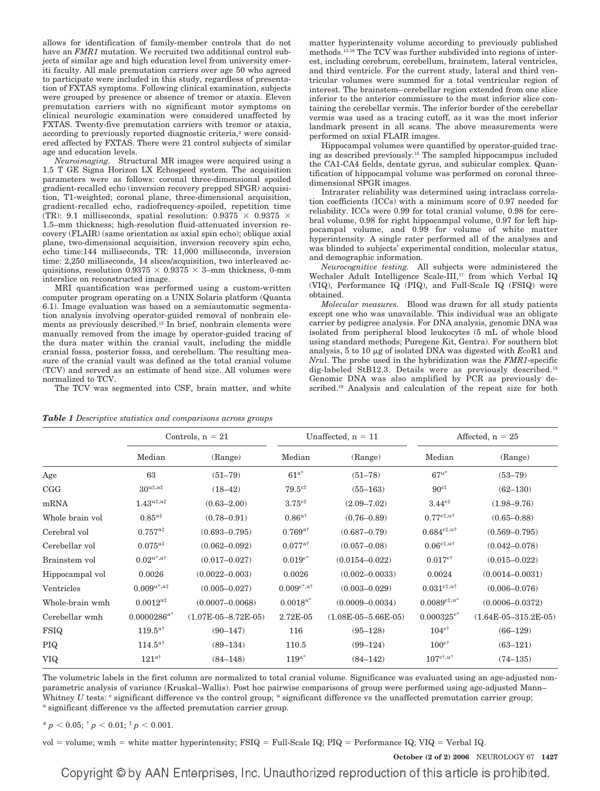allows for identification of family-member controls that do not have an *FMR1* mutation. We recruited two additional control subjects of similar age and high education level from university emeriti faculty. All male premutation carriers over age 50 who agreed to participate were included in this study, regardless of presentation of FXTAS symptoms. Following clinical examination, subjects were grouped by presence or absence of tremor or ataxia. Eleven premutation carriers with no significant motor symptoms on clinical neurologic examination were considered unaffected by FXTAS. Twenty-five premutation carriers with tremor or ataxia, according to previously reported diagnostic criteria,<sup>2</sup> were considered affected by FXTAS. There were 21 control subjects of similar age and education levels.

*Neuroimaging.* Structural MR images were acquired using a 1.5 T GE Signa Horizon LX Echospeed system. The acquisition parameters were as follows: coronal three-dimensional spoiled gradient-recalled echo (inversion recovery prepped SPGR) acquisition, T1-weighted; coronal plane, three-dimensional acquisition, gradient-recalled echo, radiofrequency-spoiled, repetition time (TR): 9.1 milliseconds, spatial resolution:  $0.9375 \times 0.9375 \times$ 1.5–mm thickness; high-resolution fluid-attenuated inversion recovery (FLAIR) (same orientation as axial spin echo); oblique axial plane, two-dimensional acquisition, inversion recovery spin echo, echo time:144 milliseconds, TR: 11,000 milliseconds, inversion time: 2,250 milliseconds, 14 slices/acquisition, two interleaved acquisitions, resolution  $0.9375 \times 0.9375 \times 3$ -mm thickness, 0-mm interslice on reconstructed image.

MRI quantification was performed using a custom-written computer program operating on a UNIX Solaris platform (Quanta 6.1). Image evaluation was based on a semiautomatic segmentation analysis involving operator-guided removal of nonbrain elements as previously described.13 In brief, nonbrain elements were manually removed from the image by operator-guided tracing of the dura mater within the cranial vault, including the middle cranial fossa, posterior fossa, and cerebellum. The resulting measure of the cranial vault was defined as the total cranial volume (TCV) and served as an estimate of head size. All volumes were normalized to TCV.

The TCV was segmented into CSF, brain matter, and white

matter hyperintensity volume according to previously published methods.13-16 The TCV was further subdivided into regions of interest, including cerebrum, cerebellum, brainstem, lateral ventricles, and third ventricle. For the current study, lateral and third ventricular volumes were summed for a total ventricular region of interest. The brainstem– cerebellar region extended from one slice inferior to the anterior commissure to the most inferior slice containing the cerebellar vermis. The inferior border of the cerebellar vermis was used as a tracing cutoff, as it was the most inferior landmark present in all scans. The above measurements were performed on axial FLAIR images.

Hippocampal volumes were quantified by operator-guided tracing as described previously.15 The sampled hippocampus included the CA1-CA4 fields, dentate gyrus, and subicular complex. Quantification of hippocampal volume was performed on coronal threedimensional SPGR images.

Intrarater reliability was determined using intraclass correlation coefficients (ICCs) with a minimum score of 0.97 needed for reliability. ICCs were 0.99 for total cranial volume, 0.98 for cerebral volume, 0.98 for right hippocampal volume, 0.97 for left hippocampal volume, and 0.99 for volume of white matter hyperintensity. A single rater performed all of the analyses and was blinded to subjects' experimental condition, molecular status, and demographic information.

*Neurocognitive testing.* All subjects were administered the Wechsler Adult Intelligence Scale-III,<sup>17</sup> from which Verbal IQ (VIQ), Performance IQ (PIQ), and Full-Scale IQ (FSIQ) were obtained.

*Molecular measures.* Blood was drawn for all study patients except one who was unavailable. This individual was an obligate carrier by pedigree analysis. For DNA analysis, genomic DNA was isolated from peripheral blood leukocytes (5 mL of whole blood using standard methods; Puregene Kit, Gentra). For southern blot analysis, 5 to 10  $\mu$ g of isolated DNA was digested with *Eco*R1 and *Nru*l. The probe used in the hybridization was the *FMR1*-specific dig-labeled StB12.3. Details were as previously described.18 Genomic DNA was also amplified by PCR as previously described.19 Analysis and calculation of the repeat size for both

|                 |                                                | Controls, $n = 21$    |                       | Unaffected, $n = 11$  | Affected, $n = 25$                 |                        |  |
|-----------------|------------------------------------------------|-----------------------|-----------------------|-----------------------|------------------------------------|------------------------|--|
|                 | Median                                         | (Range)               | Median                | (Range)               | Median                             | (Range)                |  |
| Age             | 63                                             | $(51 - 79)$           | $61^{a*}$             | $(51 - 78)$           | $67^{\mathrm{u}*}$                 | $(53 - 79)$            |  |
| CGG             | $30^{u^{\ddagger},a^{\ddagger}}$               | $(18 - 42)$           | $79.5^{\circ}$        | $(55 - 163)$          | $90^{c}$                           | $(62 - 130)$           |  |
| mRNA            | $1.43^{\mathrm{u}\ddagger,\mathrm{a}\ddagger}$ | $(0.63 - 2.00)$       | $3.75^{\text{c}}$     | $(2.09 - 7.02)$       | 3.44c                              | $(1.98 - 9.76)$        |  |
| Whole brain vol | $0.85^{a}$                                     | $(0.78 - 0.91)$       | $0.86^{a\dagger}$     | $(0.76 - 0.89)$       | $0.77^{\text{c},\text{u}+}$        | $(0.65 - 0.88)$        |  |
| Cerebral vol    | $0.757^{a\dagger}$                             | $(0.693 - 0.795)$     | $0.769$ <sup>a+</sup> | $(0.687 - 0.79)$      | $0.684^{\text{c},\text{u}\dagger}$ | $(0.569 - 0.795)$      |  |
| Cerebellar vol  | $0.075^{\rm{a}\ddagger}$                       | $(0.062 - 0.092)$     | $0.077^{a\dagger}$    | $(0.057 - 0.08)$      | $0.06^{\text{c},\text{u}+}$        | $(0.042 - 0.078)$      |  |
| Brainstem vol   | $0.02^{u^*,a^+}$                               | $(0.017 - 0.027)$     | $0.019^{c*}$          | $(0.0154 - 0.022)$    | $0.017$ <sup>c†</sup>              | $(0.015 - 0.022)$      |  |
| Hippocampal vol | 0.0026                                         | $(0.0022 - 0.003)$    | 0.0026                | $(0.002 - 0.0033)$    | 0.0024                             | $(0.0014 - 0.0031)$    |  |
| Ventricles      | $0.009^{\mathrm{u}^*,\mathrm{a}\ddagger}$      | $(0.005 - 0.027)$     | $0.009^{c*,a\dagger}$ | $(0.003 - 0.029)$     | $0.031^{\text{c},\text{u}\dagger}$ | $(0.006 - 0.076)$      |  |
| Whole-brain wmh | $0.0012^{a\dagger}$                            | $(0.0007 - 0.0068)$   | $0.0018^{a*}$         | $(0.0009 - 0.0034)$   | $0.0089^{c*,u^*}$                  | $(0.0006 - 0.0372)$    |  |
| Cerebellar wmh  | $0.0000286^{a*}$                               | $(1.07E-05-8.72E-05)$ | 2.72E-05              | $(1.08E-05-5.66E-05)$ | $0.000325^{c*}$                    | $(1.64E-05-315.2E-05)$ |  |
| <b>FSIQ</b>     | $119.5^{a\dagger}$                             | $(90 - 147)$          | 116                   | $(95 - 128)$          | $104^{c\dagger}$                   | $(66 - 129)$           |  |
| <b>PIQ</b>      | $114.5^{\text{a}+}$                            | $(89 - 134)$          | 110.5                 | $(99 - 124)$          | $100^{c\dagger}$                   | $(63 - 121)$           |  |
| VIQ             | $121^{a\dagger}$                               | $(84 - 148)$          | $119^{a*}$            | $(84 - 142)$          | $107^{\text{c}\dagger,\text{u}*}$  | $(74 - 135)$           |  |

*Table 1 Descriptive statistics and comparisons across groups*

The volumetric labels in the first column are normalized to total cranial volume. Significance was evaluated using an age-adjusted nonparametric analysis of variance (Kruskal–Wallis). Post hoc pairwise comparisons of group were performed using age-adjusted Mann– Whitney *U* tests: c significant difference vs the control group; u significant difference vs the unaffected premutation carrier group; <sup>a</sup> significant difference vs the affected premutation carrier group.

 $* p < 0.05$ ;  $\frac{1}{2} p < 0.01$ ;  $\frac{1}{2} p < 0.001$ .

vol = volume; wmh = white matter hyperintensity;  $FSIQ = Full-Scale IQ; PIQ = Performance IQ; VIQ = Verbal IQ$ .

**October (2 of 2) 2006** NEUROLOGY 67 **1427**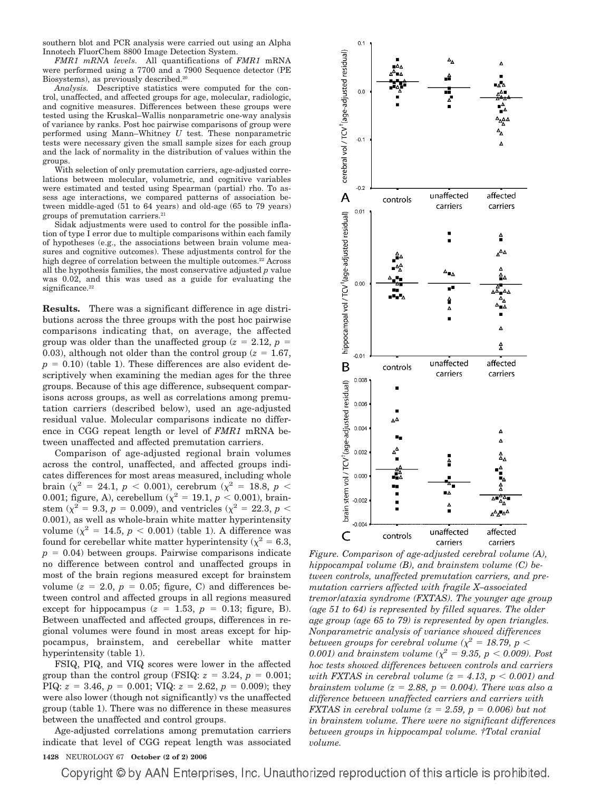southern blot and PCR analysis were carried out using an Alpha Innotech FluorChem 8800 Image Detection System.

*FMR1 mRNA levels.* All quantifications of *FMR1* mRNA were performed using a 7700 and a 7900 Sequence detector (PE Biosystems), as previously described.20

*Analysis.* Descriptive statistics were computed for the control, unaffected, and affected groups for age, molecular, radiologic, and cognitive measures. Differences between these groups were tested using the Kruskal–Wallis nonparametric one-way analysis of variance by ranks. Post hoc pairwise comparisons of group were performed using Mann–Whitney *U* test. These nonparametric tests were necessary given the small sample sizes for each group and the lack of normality in the distribution of values within the groups.

With selection of only premutation carriers, age-adjusted correlations between molecular, volumetric, and cognitive variables were estimated and tested using Spearman (partial) rho. To assess age interactions, we compared patterns of association between middle-aged (51 to 64 years) and old-age (65 to 79 years) groups of premutation carriers.21

Sidak adjustments were used to control for the possible inflation of type I error due to multiple comparisons within each family of hypotheses (e.g., the associations between brain volume measures and cognitive outcomes). These adjustments control for the high degree of correlation between the multiple outcomes.<sup>22</sup> Across all the hypothesis families, the most conservative adjusted *p* value was 0.02, and this was used as a guide for evaluating the significance.<sup>22</sup>

**Results.** There was a significant difference in age distributions across the three groups with the post hoc pairwise comparisons indicating that, on average, the affected group was older than the unaffected group  $(z = 2.12, p =$ 0.03), although not older than the control group ( $z = 1.67$ ,  $p = 0.10$ ) (table 1). These differences are also evident descriptively when examining the median ages for the three groups. Because of this age difference, subsequent comparisons across groups, as well as correlations among premutation carriers (described below), used an age-adjusted residual value. Molecular comparisons indicate no difference in CGG repeat length or level of *FMR1* mRNA between unaffected and affected premutation carriers.

Comparison of age-adjusted regional brain volumes across the control, unaffected, and affected groups indicates differences for most areas measured, including whole brain ( $\chi^2$  = 24.1, *p* < 0.001), cerebrum ( $\chi^2$  = 18.8, *p* < 0.001; figure, A), cerebellum ( $\chi^2 = 19.1$ ,  $p < 0.001$ ), brainstem ( $\chi^2$  = 9.3, *p* = 0.009), and ventricles ( $\chi^2$  = 22.3, *p* < 0.001), as well as whole-brain white matter hyperintensity volume  $(\chi^2 = 14.5, p < 0.001)$  (table 1). A difference was found for cerebellar white matter hyperintensity ( $\chi^2 = 6.3$ ,  $p = 0.04$ ) between groups. Pairwise comparisons indicate no difference between control and unaffected groups in most of the brain regions measured except for brainstem volume  $(z = 2.0, p = 0.05;$  figure, C) and differences between control and affected groups in all regions measured except for hippocampus  $(z = 1.53, p = 0.13;$  figure, B). Between unaffected and affected groups, differences in regional volumes were found in most areas except for hippocampus, brainstem, and cerebellar white matter hyperintensity (table 1).

FSIQ, PIQ, and VIQ scores were lower in the affected group than the control group (FSIQ:  $z = 3.24$ ,  $p = 0.001$ ; PIQ:  $z = 3.46$ ,  $p = 0.001$ ; VIQ:  $z = 2.62$ ,  $p = 0.009$ ); they were also lower (though not significantly) vs the unaffected group (table 1). There was no difference in these measures between the unaffected and control groups.

Age-adjusted correlations among premutation carriers indicate that level of CGG repeat length was associated



*Figure. Comparison of age-adjusted cerebral volume (A), hippocampal volume (B), and brainstem volume (C) between controls, unaffected premutation carriers, and premutation carriers affected with fragile X–associated tremor/ataxia syndrome (FXTAS). The younger age group (age 51 to 64) is represented by filled squares. The older age group (age 65 to 79) is represented by open triangles. Nonparametric analysis of variance showed differences between groups for cerebral volume* ( $\chi^2$  = 18.79, p < *0.001)* and brainstem volume ( $\chi^2 = 9.35$ ,  $p < 0.009$ ). Post *hoc tests showed differences between controls and carriers with FXTAS in cerebral volume (* $z = 4.13$ *,*  $p < 0.001$ *) and brainstem volume (* $z = 2.88$ *,*  $p = 0.004$ *). There was also a difference between unaffected carriers and carriers with FXTAS in cerebral volume (* $z = 2.59$ *,*  $p = 0.006$ *) but not in brainstem volume. There were no significant differences between groups in hippocampal volume. †Total cranial volume.*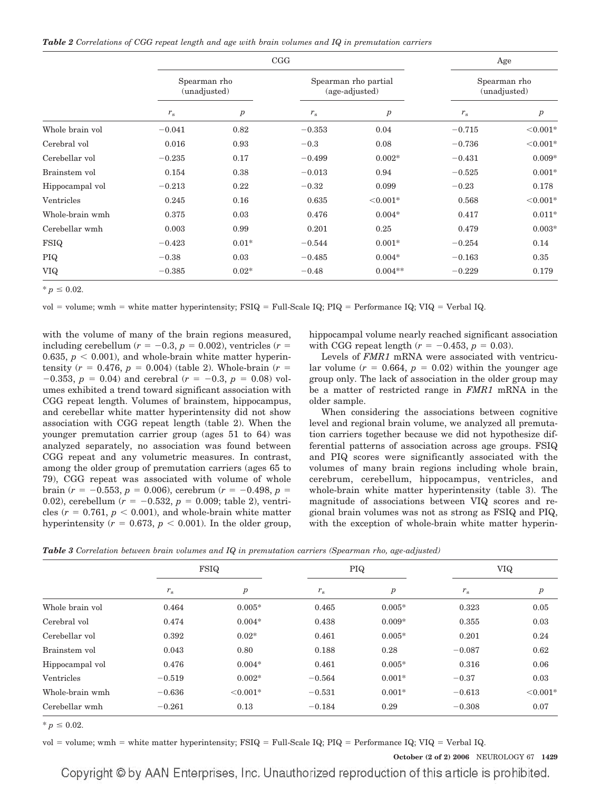|  |  |  |  |  |  |  |  |  |  |  |  |  |  |  | Table 2 Correlations of CGG repeat length and age with brain volumes and IQ in premutation carriers |  |
|--|--|--|--|--|--|--|--|--|--|--|--|--|--|--|-----------------------------------------------------------------------------------------------------|--|
|--|--|--|--|--|--|--|--|--|--|--|--|--|--|--|-----------------------------------------------------------------------------------------------------|--|

|                 |                              | CGG              |             | Age                                    |                              |                  |  |
|-----------------|------------------------------|------------------|-------------|----------------------------------------|------------------------------|------------------|--|
|                 | Spearman rho<br>(unadjusted) |                  |             | Spearman rho partial<br>(age-adjusted) | Spearman rho<br>(unadjusted) |                  |  |
|                 | $r_{\rm s}$                  | $\boldsymbol{p}$ | $r_{\rm s}$ | $\boldsymbol{p}$                       | $r_{\rm s}$                  | $\boldsymbol{p}$ |  |
| Whole brain vol | $-0.041$                     | 0.82             | $-0.353$    | 0.04                                   | $-0.715$                     | $< 0.001*$       |  |
| Cerebral vol    | 0.016                        | 0.93             | $-0.3$      | 0.08                                   | $-0.736$                     | $< 0.001*$       |  |
| Cerebellar vol  | $-0.235$                     | 0.17             | $-0.499$    | $0.002*$                               | $-0.431$                     | $0.009*$         |  |
| Brainstem vol   | 0.154                        | 0.38             | $-0.013$    | 0.94                                   | $-0.525$                     | $0.001*$         |  |
| Hippocampal vol | $-0.213$                     | 0.22             | $-0.32$     | 0.099                                  | $-0.23$                      | 0.178            |  |
| Ventricles      | 0.245                        | 0.16             | 0.635       | $< 0.001*$                             | 0.568                        | $< 0.001*$       |  |
| Whole-brain wmh | 0.375                        | 0.03             | 0.476       | $0.004*$                               | 0.417                        | $0.011*$         |  |
| Cerebellar wmh  | 0.003                        | 0.99             | 0.201       | 0.25                                   | 0.479                        | $0.003*$         |  |
| <b>FSIQ</b>     | $-0.423$                     | $0.01*$          | $-0.544$    | $0.001*$                               | $-0.254$                     | 0.14             |  |
| PIQ             | $-0.38$                      | 0.03             | $-0.485$    | $0.004*$                               | $-0.163$                     | 0.35             |  |
| VIQ             | $-0.385$                     | $0.02*$          | $-0.48$     | $0.004**$                              | $-0.229$                     | 0.179            |  |

 $* p \leq 0.02$ .

vol = volume; wmh = white matter hyperintensity;  $\text{FSIQ} = \text{Full-Scale IQ}$ ;  $\text{PIQ} = \text{Performance IQ}$ ;  $\text{VIQ} = \text{Verbal IQ}$ .

with the volume of many of the brain regions measured, including cerebellum ( $r = -0.3$ ,  $p = 0.002$ ), ventricles ( $r =$ 0.635,  $p < 0.001$ ), and whole-brain white matter hyperintensity ( $r = 0.476$ ,  $p = 0.004$ ) (table 2). Whole-brain ( $r =$  $-0.353$ ,  $p = 0.04$ ) and cerebral ( $r = -0.3$ ,  $p = 0.08$ ) volumes exhibited a trend toward significant association with CGG repeat length. Volumes of brainstem, hippocampus, and cerebellar white matter hyperintensity did not show association with CGG repeat length (table 2). When the younger premutation carrier group (ages 51 to 64) was analyzed separately, no association was found between CGG repeat and any volumetric measures. In contrast, among the older group of premutation carriers (ages 65 to 79), CGG repeat was associated with volume of whole  $brain (r = -0.553, p = 0.006)$ , cerebrum ( $r = -0.498, p =$ 0.02), cerebellum ( $r = -0.532$ ,  $p = 0.009$ ; table 2), ventricles  $(r = 0.761, p < 0.001)$ , and whole-brain white matter hyperintensity  $(r = 0.673, p < 0.001)$ . In the older group, hippocampal volume nearly reached significant association with CGG repeat length  $(r = -0.453, p = 0.03)$ .

Levels of *FMR1* mRNA were associated with ventricular volume  $(r = 0.664, p = 0.02)$  within the younger age group only. The lack of association in the older group may be a matter of restricted range in *FMR1* mRNA in the older sample.

When considering the associations between cognitive level and regional brain volume, we analyzed all premutation carriers together because we did not hypothesize differential patterns of association across age groups. FSIQ and PIQ scores were significantly associated with the volumes of many brain regions including whole brain, cerebrum, cerebellum, hippocampus, ventricles, and whole-brain white matter hyperintensity (table 3). The magnitude of associations between VIQ scores and regional brain volumes was not as strong as FSIQ and PIQ, with the exception of whole-brain white matter hyperin-

|  |  |  |  |  |  |  |  |  |  |  | Table 3 Correlation between brain volumes and IQ in premutation carriers (Spearman rho, age-adjusted) |
|--|--|--|--|--|--|--|--|--|--|--|-------------------------------------------------------------------------------------------------------|
|--|--|--|--|--|--|--|--|--|--|--|-------------------------------------------------------------------------------------------------------|

|                 |             | <b>FSIQ</b>      | <b>PIQ</b>  |                  | <b>VIQ</b>  |                  |  |
|-----------------|-------------|------------------|-------------|------------------|-------------|------------------|--|
|                 | $r_{\rm s}$ | $\boldsymbol{p}$ | $r_{\rm s}$ | $\boldsymbol{p}$ | $r_{\rm s}$ | $\boldsymbol{p}$ |  |
| Whole brain vol | 0.464       | $0.005*$         | 0.465       | $0.005*$         | 0.323       | 0.05             |  |
| Cerebral vol    | 0.474       | $0.004*$         | 0.438       | $0.009*$         | 0.355       | 0.03             |  |
| Cerebellar vol  | 0.392       | $0.02*$          | 0.461       | $0.005*$         | 0.201       | 0.24             |  |
| Brainstem vol   | 0.043       | 0.80             | 0.188       | 0.28             | $-0.087$    | 0.62             |  |
| Hippocampal vol | 0.476       | $0.004*$         | 0.461       | $0.005*$         | 0.316       | 0.06             |  |
| Ventricles      | $-0.519$    | $0.002*$         | $-0.564$    | $0.001*$         | $-0.37$     | 0.03             |  |
| Whole-brain wmh | $-0.636$    | $< 0.001*$       | $-0.531$    | $0.001*$         | $-0.613$    | $< 0.001*$       |  |
| Cerebellar wmh  | $-0.261$    | 0.13             | $-0.184$    | 0.29             | $-0.308$    | 0.07             |  |

 $* p \leq 0.02$ .

vol = volume; wmh = white matter hyperintensity;  $FSIQ = Full-Scale IQ; PIQ = Performance IQ; VIQ = Verbal IQ$ .

**October (2 of 2) 2006** NEUROLOGY 67 **1429**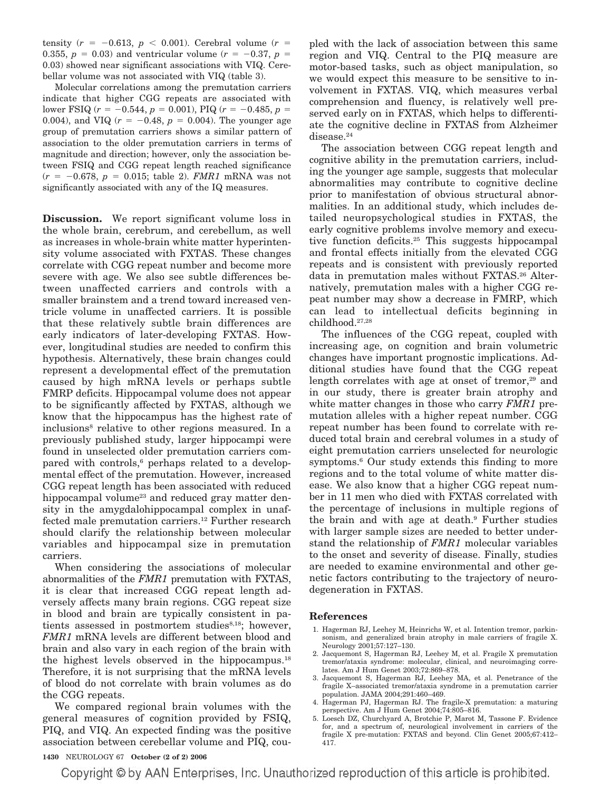tensity  $(r = -0.613, p < 0.001)$ . Cerebral volume  $(r =$ 0.355,  $p = 0.03$  and ventricular volume ( $r = -0.37$ ,  $p =$ 0.03) showed near significant associations with VIQ. Cerebellar volume was not associated with VIQ (table 3).

Molecular correlations among the premutation carriers indicate that higher CGG repeats are associated with lower FSIQ  $(r = -0.544, p = 0.001)$ , PIQ  $(r = -0.485, p =$ 0.004), and VIQ  $(r = -0.48, p = 0.004)$ . The younger age group of premutation carriers shows a similar pattern of association to the older premutation carriers in terms of magnitude and direction; however, only the association between FSIQ and CGG repeat length reached significance  $(r = -0.678, p = 0.015$ ; table 2). *FMR1* mRNA was not significantly associated with any of the IQ measures.

**Discussion.** We report significant volume loss in the whole brain, cerebrum, and cerebellum, as well as increases in whole-brain white matter hyperintensity volume associated with FXTAS. These changes correlate with CGG repeat number and become more severe with age. We also see subtle differences between unaffected carriers and controls with a smaller brainstem and a trend toward increased ventricle volume in unaffected carriers. It is possible that these relatively subtle brain differences are early indicators of later-developing FXTAS. However, longitudinal studies are needed to confirm this hypothesis. Alternatively, these brain changes could represent a developmental effect of the premutation caused by high mRNA levels or perhaps subtle FMRP deficits. Hippocampal volume does not appear to be significantly affected by FXTAS, although we know that the hippocampus has the highest rate of inclusions<sup>8</sup> relative to other regions measured. In a previously published study, larger hippocampi were found in unselected older premutation carriers compared with controls, $6$  perhaps related to a developmental effect of the premutation. However, increased CGG repeat length has been associated with reduced hippocampal volume<sup>23</sup> and reduced gray matter density in the amygdalohippocampal complex in unaffected male premutation carriers.12 Further research should clarify the relationship between molecular variables and hippocampal size in premutation carriers.

When considering the associations of molecular abnormalities of the *FMR1* premutation with FXTAS, it is clear that increased CGG repeat length adversely affects many brain regions. CGG repeat size in blood and brain are typically consistent in patients assessed in postmortem studies<sup>8,18</sup>; however, *FMR1* mRNA levels are different between blood and brain and also vary in each region of the brain with the highest levels observed in the hippocampus.18 Therefore, it is not surprising that the mRNA levels of blood do not correlate with brain volumes as do the CGG repeats.

We compared regional brain volumes with the general measures of cognition provided by FSIQ, PIQ, and VIQ. An expected finding was the positive association between cerebellar volume and PIQ, coupled with the lack of association between this same region and VIQ. Central to the PIQ measure are motor-based tasks, such as object manipulation, so we would expect this measure to be sensitive to involvement in FXTAS. VIQ, which measures verbal comprehension and fluency, is relatively well preserved early on in FXTAS, which helps to differentiate the cognitive decline in FXTAS from Alzheimer disease.<sup>24</sup>

The association between CGG repeat length and cognitive ability in the premutation carriers, including the younger age sample, suggests that molecular abnormalities may contribute to cognitive decline prior to manifestation of obvious structural abnormalities. In an additional study, which includes detailed neuropsychological studies in FXTAS, the early cognitive problems involve memory and executive function deficits.25 This suggests hippocampal and frontal effects initially from the elevated CGG repeats and is consistent with previously reported data in premutation males without FXTAS.<sup>26</sup> Alternatively, premutation males with a higher CGG repeat number may show a decrease in FMRP, which can lead to intellectual deficits beginning in childhood.27,28

The influences of the CGG repeat, coupled with increasing age, on cognition and brain volumetric changes have important prognostic implications. Additional studies have found that the CGG repeat length correlates with age at onset of tremor,<sup>29</sup> and in our study, there is greater brain atrophy and white matter changes in those who carry *FMR1* premutation alleles with a higher repeat number. CGG repeat number has been found to correlate with reduced total brain and cerebral volumes in a study of eight premutation carriers unselected for neurologic symptoms.<sup>6</sup> Our study extends this finding to more regions and to the total volume of white matter disease. We also know that a higher CGG repeat number in 11 men who died with FXTAS correlated with the percentage of inclusions in multiple regions of the brain and with age at death.9 Further studies with larger sample sizes are needed to better understand the relationship of *FMR1* molecular variables to the onset and severity of disease. Finally, studies are needed to examine environmental and other genetic factors contributing to the trajectory of neurodegeneration in FXTAS.

## **References**

- 1. Hagerman RJ, Leehey M, Heinrichs W, et al. Intention tremor, parkinsonism, and generalized brain atrophy in male carriers of fragile X. Neurology 2001;57:127-130.
- 2. Jacquemont S, Hagerman RJ, Leehey M, et al. Fragile X premutation tremor/ataxia syndrome: molecular, clinical, and neuroimaging correlates. Am J Hum Genet 2003;72:869–878.
- 3. Jacquemont S, Hagerman RJ, Leehey MA, et al. Penetrance of the fragile X–associated tremor/ataxia syndrome in a premutation carrier population. JAMA 2004;291:460–469.
- 4. Hagerman PJ, Hagerman RJ. The fragile-X premutation: a maturing perspective. Am J Hum Genet 2004;74:805–816.
- 5. Loesch DZ, Churchyard A, Brotchie P, Marot M, Tassone F. Evidence for, and a spectrum of, neurological involvement in carriers of the fragile X pre-mutation: FXTAS and beyond. Clin Genet 2005;67:412– 417.

## **1430** NEUROLOGY 67 **October (2 of 2) 2006**